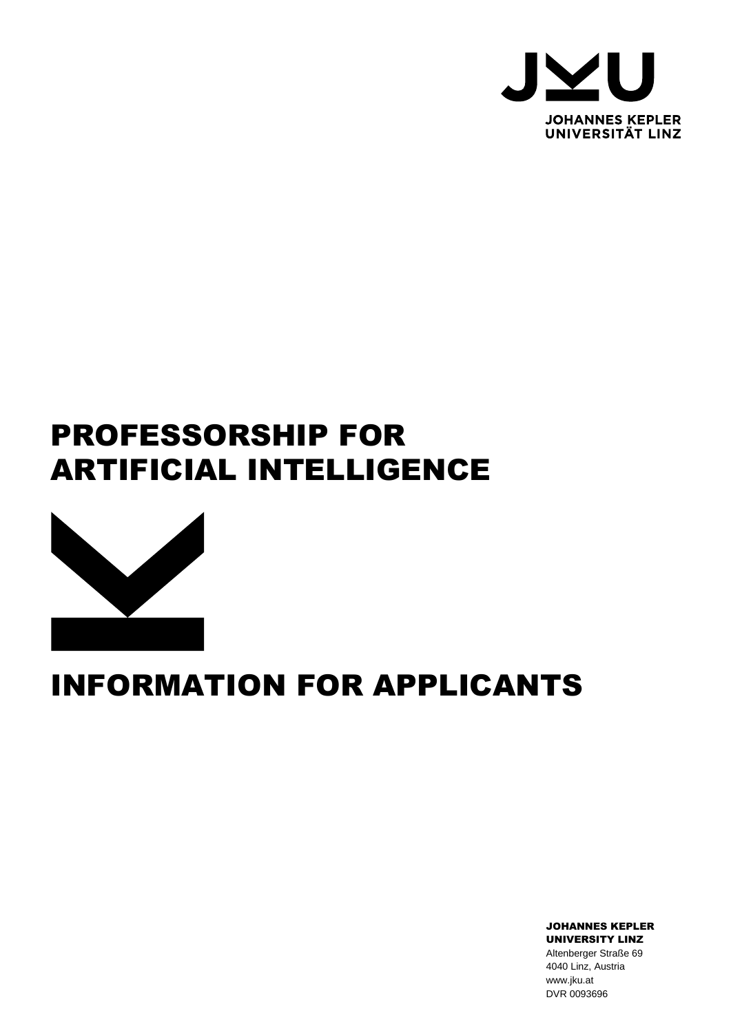

# PROFESSORSHIP FOR ARTIFICIAL INTELLIGENCE



# INFORMATION FOR APPLICANTS

JOHANNES KEPLER UNIVERSITY LINZ Altenberger Straße 69 4040 Linz, Austria www.jku.at DVR 0093696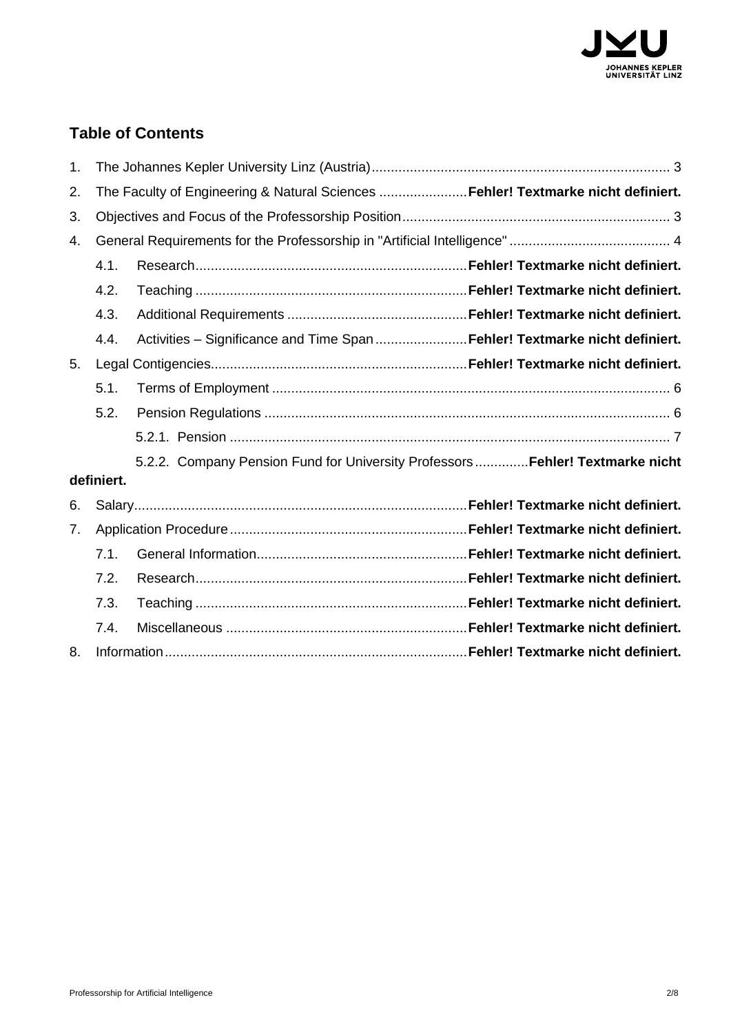

## **Table of Contents**

| 1. |            |                                                                                  |  |  |
|----|------------|----------------------------------------------------------------------------------|--|--|
| 2. |            | The Faculty of Engineering & Natural Sciences Fehler! Textmarke nicht definiert. |  |  |
| 3. |            |                                                                                  |  |  |
| 4. |            |                                                                                  |  |  |
|    | 4.1.       |                                                                                  |  |  |
|    | 4.2.       |                                                                                  |  |  |
|    | 4.3.       |                                                                                  |  |  |
|    | 4.4.       | Activities - Significance and Time Span Fehler! Textmarke nicht definiert.       |  |  |
| 5. |            |                                                                                  |  |  |
|    | 5.1.       |                                                                                  |  |  |
|    | 5.2.       |                                                                                  |  |  |
|    |            |                                                                                  |  |  |
|    |            | 5.2.2. Company Pension Fund for University Professors  Fehler! Textmarke nicht   |  |  |
|    | definiert. |                                                                                  |  |  |
| 6. |            |                                                                                  |  |  |
| 7. |            |                                                                                  |  |  |
|    | 7.1.       |                                                                                  |  |  |
|    | 7.2.       |                                                                                  |  |  |
|    | 7.3.       |                                                                                  |  |  |
|    | 7.4.       |                                                                                  |  |  |
| 8. |            |                                                                                  |  |  |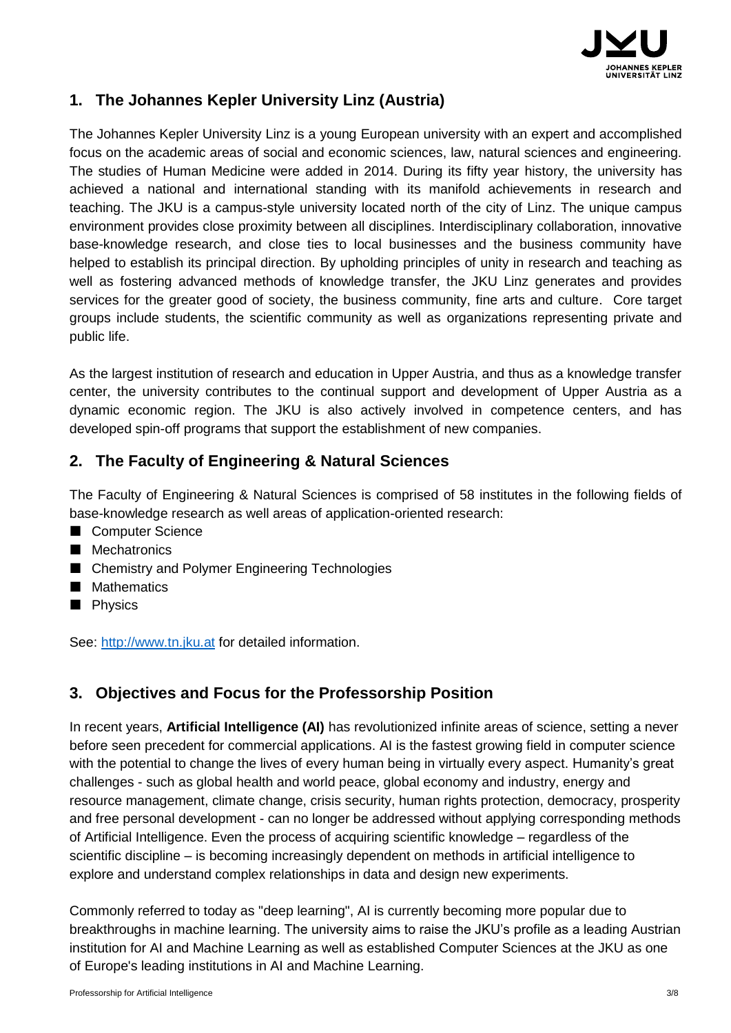

## <span id="page-2-0"></span>**1. The Johannes Kepler University Linz (Austria)**

The Johannes Kepler University Linz is a young European university with an expert and accomplished focus on the academic areas of social and economic sciences, law, natural sciences and engineering. The studies of Human Medicine were added in 2014. During its fifty year history, the university has achieved a national and international standing with its manifold achievements in research and teaching. The JKU is a campus-style university located north of the city of Linz. The unique campus environment provides close proximity between all disciplines. Interdisciplinary collaboration, innovative base-knowledge research, and close ties to local businesses and the business community have helped to establish its principal direction. By upholding principles of unity in research and teaching as well as fostering advanced methods of knowledge transfer, the JKU Linz generates and provides services for the greater good of society, the business community, fine arts and culture. Core target groups include students, the scientific community as well as organizations representing private and public life.

As the largest institution of research and education in Upper Austria, and thus as a knowledge transfer center, the university contributes to the continual support and development of Upper Austria as a dynamic economic region. The JKU is also actively involved in competence centers, and has developed spin-off programs that support the establishment of new companies.

### **2. The Faculty of Engineering & Natural Sciences**

The Faculty of Engineering & Natural Sciences is comprised of 58 institutes in the following fields of base-knowledge research as well areas of application-oriented research:

- Computer Science
- **Mechatronics**
- Chemistry and Polymer Engineering Technologies
- **Mathematics**
- **Physics**

See: [http://www.tn.jku.at](http://www.tn.jku.at/) for detailed information.

#### <span id="page-2-1"></span>**3. Objectives and Focus for the Professorship Position**

In recent years, **Artificial Intelligence (AI)** has revolutionized infinite areas of science, setting a never before seen precedent for commercial applications. AI is the fastest growing field in computer science with the potential to change the lives of every human being in virtually every aspect. Humanity's great challenges - such as global health and world peace, global economy and industry, energy and resource management, climate change, crisis security, human rights protection, democracy, prosperity and free personal development - can no longer be addressed without applying corresponding methods of Artificial Intelligence. Even the process of acquiring scientific knowledge – regardless of the scientific discipline – is becoming increasingly dependent on methods in artificial intelligence to explore and understand complex relationships in data and design new experiments.

Commonly referred to today as "deep learning", AI is currently becoming more popular due to breakthroughs in machine learning. The university aims to raise the JKU's profile as a leading Austrian institution for AI and Machine Learning as well as established Computer Sciences at the JKU as one of Europe's leading institutions in AI and Machine Learning.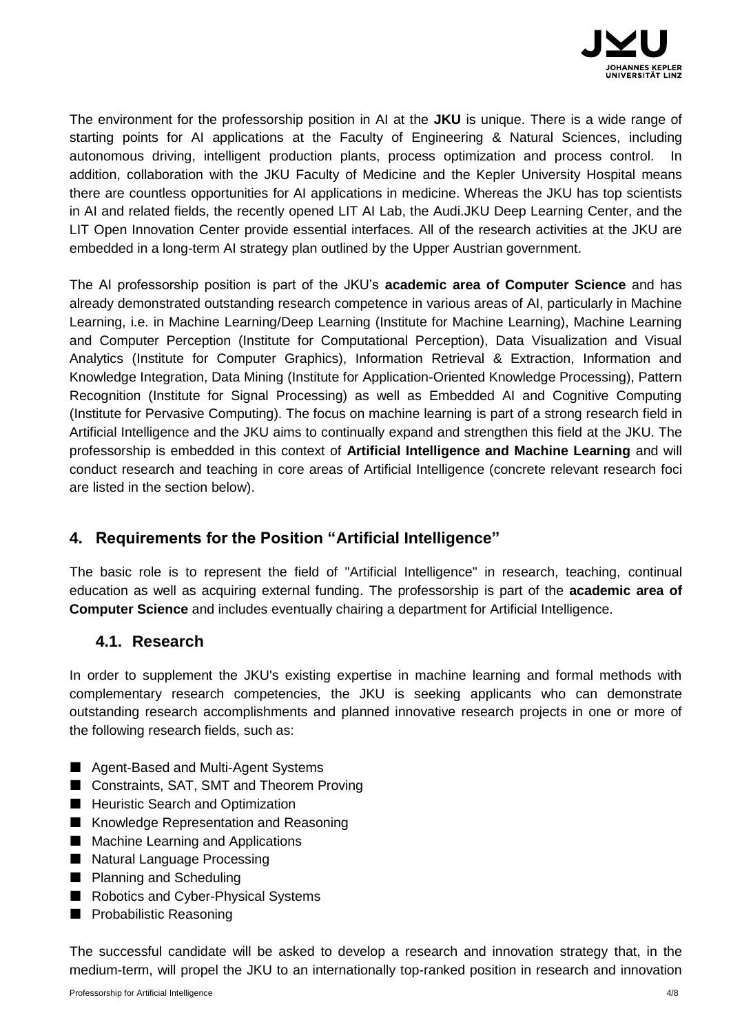

The environment for the professorship position in AI at the **JKU** is unique. There is a wide range of starting points for AI applications at the Faculty of Engineering & Natural Sciences, including autonomous driving, intelligent production plants, process optimization and process control. In addition, collaboration with the JKU Faculty of Medicine and the Kepler University Hospital means there are countless opportunities for AI applications in medicine. Whereas the JKU has top scientists in AI and related fields, the recently opened LIT AI Lab, the Audi.JKU Deep Learning Center, and the LIT Open Innovation Center provide essential interfaces. All of the research activities at the JKU are embedded in a long-term AI strategy plan outlined by the Upper Austrian government.

The AI professorship position is part of the JKU's **academic area of Computer Science** and has already demonstrated outstanding research competence in various areas of AI, particularly in Machine Learning, i.e. in Machine Learning/Deep Learning (Institute for Machine Learning), Machine Learning and Computer Perception (Institute for Computational Perception), Data Visualization and Visual Analytics (Institute for Computer Graphics), Information Retrieval & Extraction, Information and Knowledge Integration, Data Mining (Institute for Application-Oriented Knowledge Processing), Pattern Recognition (Institute for Signal Processing) as well as Embedded AI and Cognitive Computing (Institute for Pervasive Computing). The focus on machine learning is part of a strong research field in Artificial Intelligence and the JKU aims to continually expand and strengthen this field at the JKU. The professorship is embedded in this context of **Artificial Intelligence and Machine Learning** and will conduct research and teaching in core areas of Artificial Intelligence (concrete relevant research foci are listed in the section below).

#### <span id="page-3-0"></span>**4. Requirements for the Position "Artificial Intelligence"**

The basic role is to represent the field of "Artificial Intelligence" in research, teaching, continual education as well as acquiring external funding. The professorship is part of the **academic area of Computer Science** and includes eventually chairing a department for Artificial Intelligence.

#### **4.1. Research**

In order to supplement the JKU's existing expertise in machine learning and formal methods with complementary research competencies, the JKU is seeking applicants who can demonstrate outstanding research accomplishments and planned innovative research projects in one or more of the following research fields, such as:

- Agent-Based and Multi-Agent Systems
- Constraints, SAT, SMT and Theorem Proving
- Heuristic Search and Optimization
- **Knowledge Representation and Reasoning**
- Machine Learning and Applications
- Natural Language Processing
- **Planning and Scheduling**
- Robotics and Cyber-Physical Systems
- **Probabilistic Reasoning**

The successful candidate will be asked to develop a research and innovation strategy that, in the medium-term, will propel the JKU to an internationally top-ranked position in research and innovation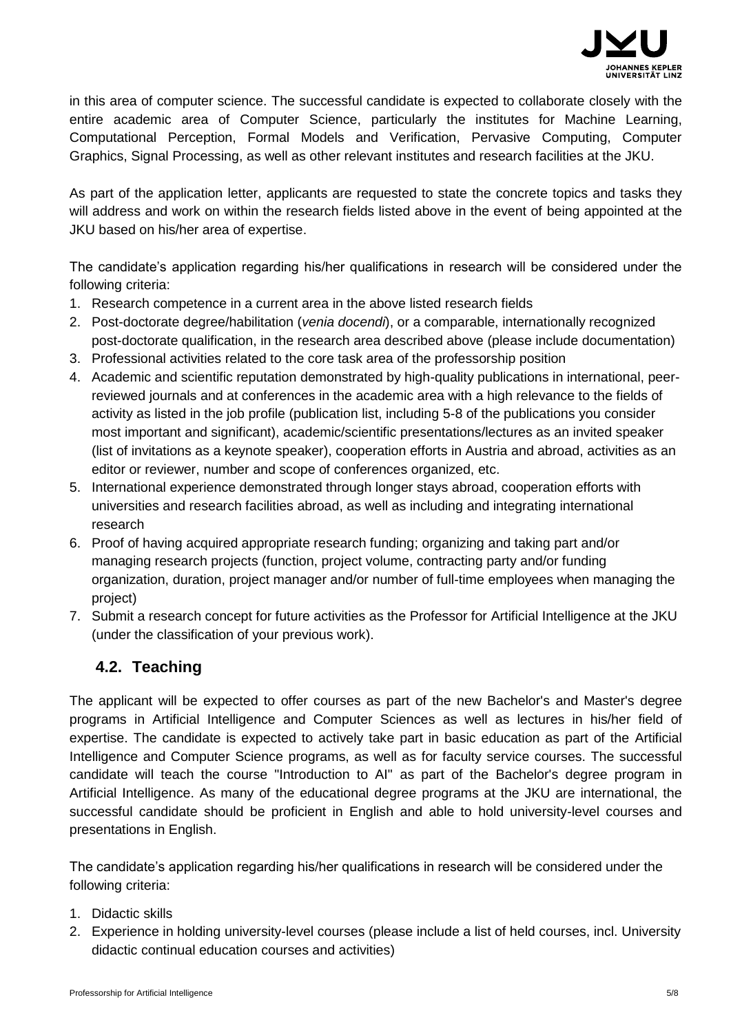

in this area of computer science. The successful candidate is expected to collaborate closely with the entire academic area of Computer Science, particularly the institutes for Machine Learning, Computational Perception, Formal Models and Verification, Pervasive Computing, Computer Graphics, Signal Processing, as well as other relevant institutes and research facilities at the JKU.

As part of the application letter, applicants are requested to state the concrete topics and tasks they will address and work on within the research fields listed above in the event of being appointed at the JKU based on his/her area of expertise.

The candidate's application regarding his/her qualifications in research will be considered under the following criteria:

- 1. Research competence in a current area in the above listed research fields
- 2. Post-doctorate degree/habilitation (*venia docendi*), or a comparable, internationally recognized post-doctorate qualification, in the research area described above (please include documentation)
- 3. Professional activities related to the core task area of the professorship position
- 4. Academic and scientific reputation demonstrated by high-quality publications in international, peerreviewed journals and at conferences in the academic area with a high relevance to the fields of activity as listed in the job profile (publication list, including 5-8 of the publications you consider most important and significant), academic/scientific presentations/lectures as an invited speaker (list of invitations as a keynote speaker), cooperation efforts in Austria and abroad, activities as an editor or reviewer, number and scope of conferences organized, etc.
- 5. International experience demonstrated through longer stays abroad, cooperation efforts with universities and research facilities abroad, as well as including and integrating international research
- 6. Proof of having acquired appropriate research funding; organizing and taking part and/or managing research projects (function, project volume, contracting party and/or funding organization, duration, project manager and/or number of full-time employees when managing the project)
- 7. Submit a research concept for future activities as the Professor for Artificial Intelligence at the JKU (under the classification of your previous work).

## **4.2. Teaching**

The applicant will be expected to offer courses as part of the new Bachelor's and Master's degree programs in Artificial Intelligence and Computer Sciences as well as lectures in his/her field of expertise. The candidate is expected to actively take part in basic education as part of the Artificial Intelligence and Computer Science programs, as well as for faculty service courses. The successful candidate will teach the course "Introduction to AI" as part of the Bachelor's degree program in Artificial Intelligence. As many of the educational degree programs at the JKU are international, the successful candidate should be proficient in English and able to hold university-level courses and presentations in English.

The candidate's application regarding his/her qualifications in research will be considered under the following criteria:

- 1. Didactic skills
- 2. Experience in holding university-level courses (please include a list of held courses, incl. University didactic continual education courses and activities)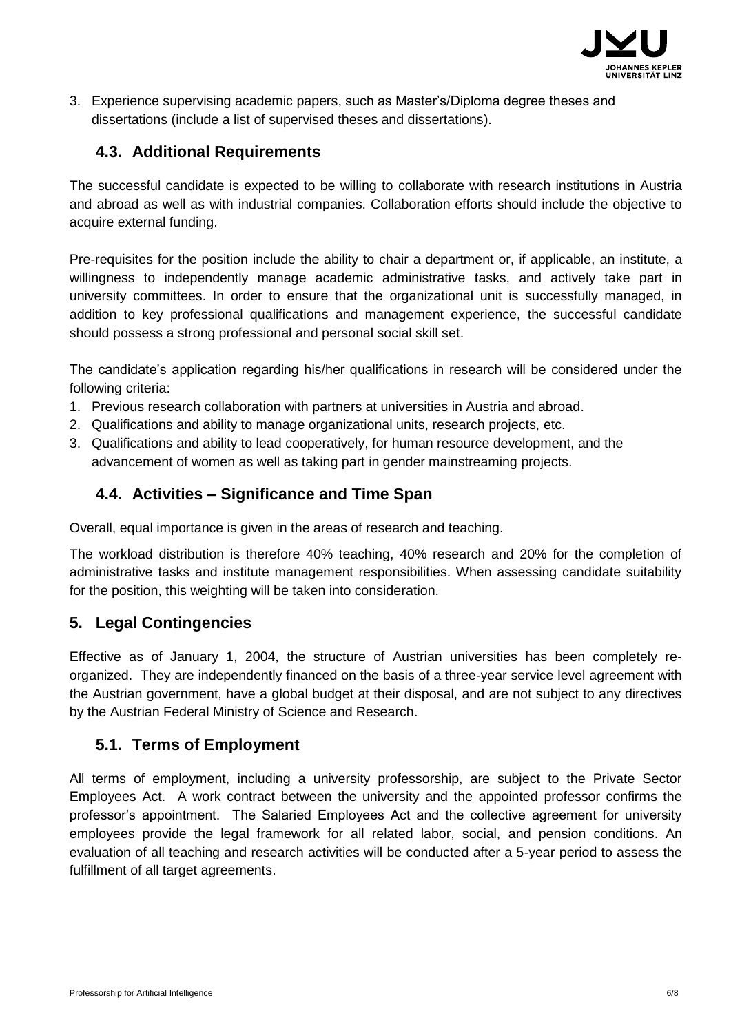

3. Experience supervising academic papers, such as Master's/Diploma degree theses and dissertations (include a list of supervised theses and dissertations).

### **4.3. Additional Requirements**

The successful candidate is expected to be willing to collaborate with research institutions in Austria and abroad as well as with industrial companies. Collaboration efforts should include the objective to acquire external funding.

Pre-requisites for the position include the ability to chair a department or, if applicable, an institute, a willingness to independently manage academic administrative tasks, and actively take part in university committees. In order to ensure that the organizational unit is successfully managed, in addition to key professional qualifications and management experience, the successful candidate should possess a strong professional and personal social skill set.

The candidate's application regarding his/her qualifications in research will be considered under the following criteria:

- 1. Previous research collaboration with partners at universities in Austria and abroad.
- 2. Qualifications and ability to manage organizational units, research projects, etc.
- 3. Qualifications and ability to lead cooperatively, for human resource development, and the advancement of women as well as taking part in gender mainstreaming projects.

### **4.4. Activities – Significance and Time Span**

Overall, equal importance is given in the areas of research and teaching.

The workload distribution is therefore 40% teaching, 40% research and 20% for the completion of administrative tasks and institute management responsibilities. When assessing candidate suitability for the position, this weighting will be taken into consideration.

#### **5. Legal Contingencies**

<span id="page-5-0"></span>Effective as of January 1, 2004, the structure of Austrian universities has been completely reorganized. They are independently financed on the basis of a three-year service level agreement with the Austrian government, have a global budget at their disposal, and are not subject to any directives by the Austrian Federal Ministry of Science and Research.

#### **5.1. Terms of Employment**

<span id="page-5-1"></span>All terms of employment, including a university professorship, are subject to the Private Sector Employees Act. A work contract between the university and the appointed professor confirms the professor's appointment. The Salaried Employees Act and the collective agreement for university employees provide the legal framework for all related labor, social, and pension conditions. An evaluation of all teaching and research activities will be conducted after a 5-year period to assess the fulfillment of all target agreements.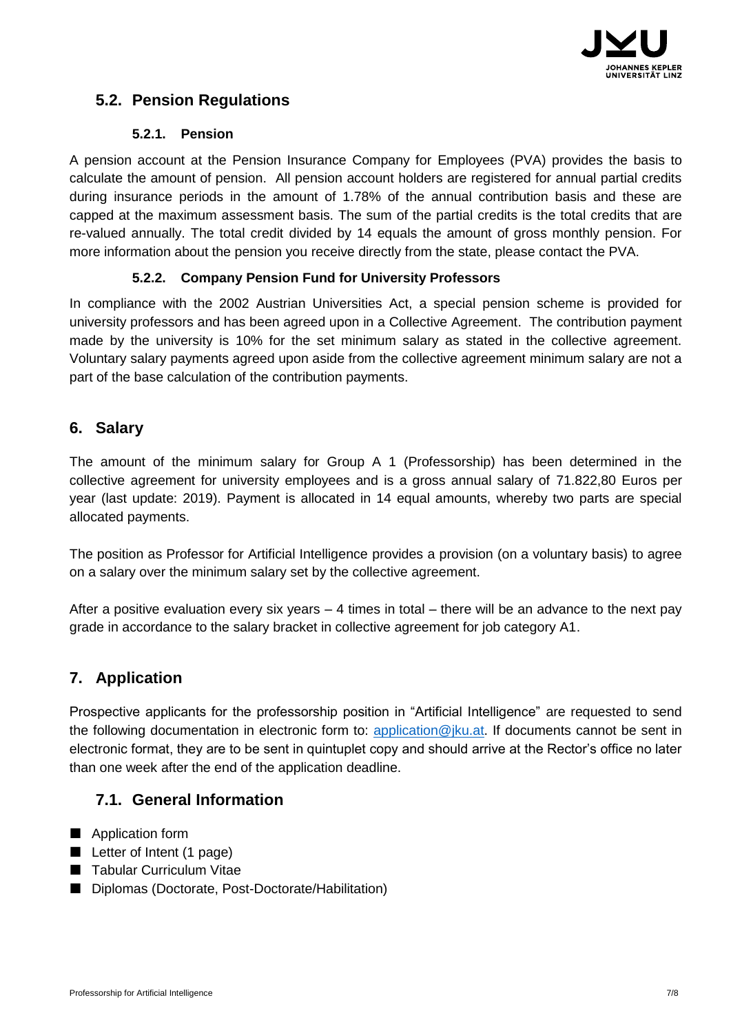

## **5.2. Pension Regulations**

#### **5.2.1. Pension**

<span id="page-6-0"></span>A pension account at the Pension Insurance Company for Employees (PVA) provides the basis to calculate the amount of pension. All pension account holders are registered for annual partial credits during insurance periods in the amount of 1.78% of the annual contribution basis and these are capped at the maximum assessment basis. The sum of the partial credits is the total credits that are re-valued annually. The total credit divided by 14 equals the amount of gross monthly pension. For more information about the pension you receive directly from the state, please contact the PVA.

#### **5.2.2. Company Pension Fund for University Professors**

In compliance with the 2002 Austrian Universities Act, a special pension scheme is provided for university professors and has been agreed upon in a Collective Agreement. The contribution payment made by the university is 10% for the set minimum salary as stated in the collective agreement. Voluntary salary payments agreed upon aside from the collective agreement minimum salary are not a part of the base calculation of the contribution payments.

#### **6. Salary**

The amount of the minimum salary for Group A 1 (Professorship) has been determined in the collective agreement for university employees and is a gross annual salary of 71.822,80 Euros per year (last update: 2019). Payment is allocated in 14 equal amounts, whereby two parts are special allocated payments.

The position as Professor for Artificial Intelligence provides a provision (on a voluntary basis) to agree on a salary over the minimum salary set by the collective agreement.

After a positive evaluation every six years  $-4$  times in total – there will be an advance to the next pay grade in accordance to the salary bracket in collective agreement for job category A1.

## **7. Application**

Prospective applicants for the professorship position in "Artificial Intelligence" are requested to send the following documentation in electronic form to: [application@jku.at.](mailto:application@jku.at) If documents cannot be sent in electronic format, they are to be sent in quintuplet copy and should arrive at the Rector's office no later than one week after the end of the application deadline.

#### **7.1. General Information**

- **Application form**
- Letter of Intent (1 page)
- Tabular Curriculum Vitae
- Diplomas (Doctorate, Post-Doctorate/Habilitation)